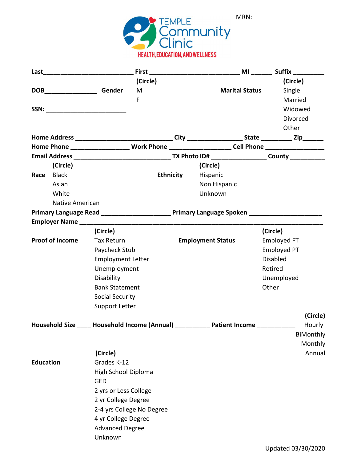| MRN: |  |
|------|--|
|      |  |



|                  |                           |                                   | (Circle)                         |                                                                                                     |  | (Circle)           |
|------------------|---------------------------|-----------------------------------|----------------------------------|-----------------------------------------------------------------------------------------------------|--|--------------------|
|                  | DOB <b>SERVICE</b> Gender |                                   | M                                | <b>Marital Status</b>                                                                               |  | Single             |
|                  |                           |                                   | F                                |                                                                                                     |  | Married            |
|                  |                           | SSN: ____________________________ |                                  |                                                                                                     |  | Widowed            |
|                  |                           |                                   |                                  |                                                                                                     |  | Divorced           |
|                  |                           |                                   |                                  |                                                                                                     |  | Other              |
|                  |                           |                                   |                                  |                                                                                                     |  |                    |
|                  |                           |                                   |                                  | Home Phone _______________________ Work Phone ______________________Cell Phone ____________________ |  |                    |
|                  |                           |                                   |                                  |                                                                                                     |  |                    |
|                  | (Circle)                  |                                   |                                  | (Circle)                                                                                            |  |                    |
| Race             | <b>Black</b>              |                                   | <b>Ethnicity</b>                 | Hispanic                                                                                            |  |                    |
|                  | Asian                     |                                   |                                  | Non Hispanic                                                                                        |  |                    |
|                  | White                     |                                   |                                  | Unknown                                                                                             |  |                    |
|                  | <b>Native American</b>    |                                   |                                  |                                                                                                     |  |                    |
|                  |                           |                                   |                                  | Primary Language Read ______________________ Primary Language Spoken ______________________         |  |                    |
|                  |                           |                                   |                                  |                                                                                                     |  |                    |
|                  |                           | (Circle)                          |                                  |                                                                                                     |  | (Circle)           |
|                  | <b>Proof of Income</b>    | Tax Return                        |                                  | <b>Employment Status</b>                                                                            |  | Employed FT        |
|                  |                           | Paycheck Stub                     |                                  |                                                                                                     |  | <b>Employed PT</b> |
|                  |                           | <b>Employment Letter</b>          |                                  |                                                                                                     |  | <b>Disabled</b>    |
|                  |                           | Unemployment                      |                                  |                                                                                                     |  | Retired            |
|                  |                           | Disability                        |                                  |                                                                                                     |  | Unemployed         |
|                  |                           | <b>Bank Statement</b>             |                                  |                                                                                                     |  | Other              |
|                  |                           | <b>Social Security</b>            |                                  |                                                                                                     |  |                    |
|                  |                           | Support Letter                    |                                  |                                                                                                     |  |                    |
|                  |                           |                                   |                                  |                                                                                                     |  | (Circle)           |
|                  | <b>Household Size</b>     |                                   | <b>Household Income (Annual)</b> | <b>Patient Income</b>                                                                               |  | Hourly             |
|                  |                           |                                   |                                  |                                                                                                     |  | BiMonthly          |
|                  |                           |                                   |                                  |                                                                                                     |  | Monthly            |
|                  |                           | (Circle)                          |                                  |                                                                                                     |  | Annual             |
| <b>Education</b> |                           | Grades K-12                       |                                  |                                                                                                     |  |                    |
|                  |                           | High School Diploma               |                                  |                                                                                                     |  |                    |
|                  |                           | <b>GED</b>                        |                                  |                                                                                                     |  |                    |
|                  |                           | 2 yrs or Less College             |                                  |                                                                                                     |  |                    |
|                  |                           | 2 yr College Degree               |                                  |                                                                                                     |  |                    |
|                  |                           |                                   | 2-4 yrs College No Degree        |                                                                                                     |  |                    |
|                  |                           | 4 yr College Degree               |                                  |                                                                                                     |  |                    |
|                  |                           | <b>Advanced Degree</b>            |                                  |                                                                                                     |  |                    |
|                  |                           | Unknown                           |                                  |                                                                                                     |  |                    |
|                  |                           |                                   |                                  |                                                                                                     |  |                    |